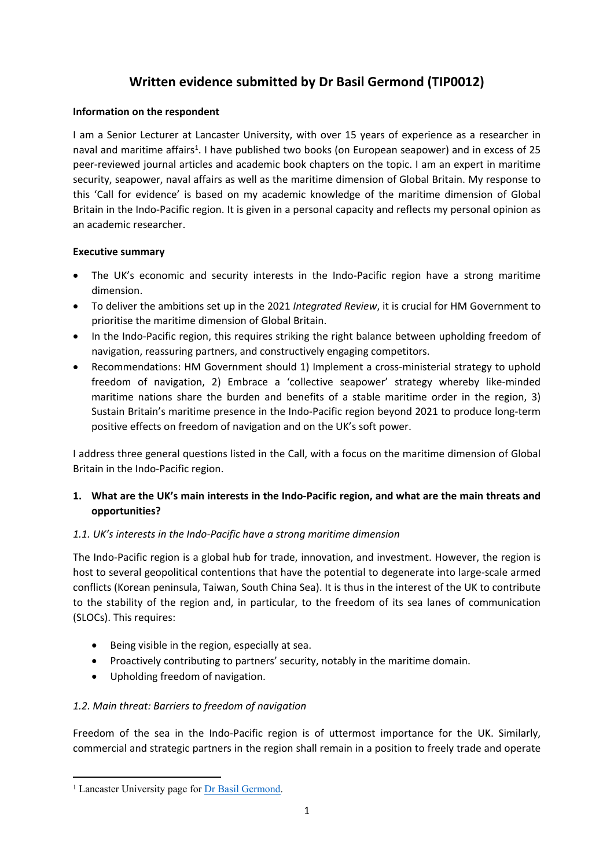# **Written evidence submitted by Dr Basil Germond (TIP0012)**

#### **Information on the respondent**

I am a Senior Lecturer at Lancaster University, with over 15 years of experience as a researcher in naval and maritime affairs<sup>1</sup>. I have published two books (on European seapower) and in excess of 25 peer-reviewed journal articles and academic book chapters on the topic. I am an expert in maritime security, seapower, naval affairs as well as the maritime dimension of Global Britain. My response to this 'Call for evidence' is based on my academic knowledge of the maritime dimension of Global Britain in the Indo-Pacific region. It is given in a personal capacity and reflects my personal opinion as an academic researcher.

#### **Executive summary**

- The UK's economic and security interests in the Indo-Pacific region have a strong maritime dimension.
- To deliver the ambitions set up in the 2021 *Integrated Review*, it is crucial for HM Government to prioritise the maritime dimension of Global Britain.
- In the Indo-Pacific region, this requires striking the right balance between upholding freedom of navigation, reassuring partners, and constructively engaging competitors.
- Recommendations: HM Government should 1) Implement a cross-ministerial strategy to uphold freedom of navigation, 2) Embrace a 'collective seapower' strategy whereby like-minded maritime nations share the burden and benefits of a stable maritime order in the region, 3) Sustain Britain's maritime presence in the Indo-Pacific region beyond 2021 to produce long-term positive effects on freedom of navigation and on the UK's soft power.

I address three general questions listed in the Call, with a focus on the maritime dimension of Global Britain in the Indo-Pacific region.

### **1. What are the UK's main interests in the Indo-Pacific region, and what are the main threats and opportunities?**

# *1.1. UK's interests in the Indo-Pacific have a strong maritime dimension*

The Indo-Pacific region is a global hub for trade, innovation, and investment. However, the region is host to several geopolitical contentions that have the potential to degenerate into large-scale armed conflicts (Korean peninsula, Taiwan, South China Sea). It is thus in the interest of the UK to contribute to the stability of the region and, in particular, to the freedom of its sea lanes of communication (SLOCs). This requires:

- Being visible in the region, especially at sea.
- Proactively contributing to partners' security, notably in the maritime domain.
- Upholding freedom of navigation.

#### *1.2. Main threat: Barriers to freedom of navigation*

Freedom of the sea in the Indo-Pacific region is of uttermost importance for the UK. Similarly, commercial and strategic partners in the region shall remain in a position to freely trade and operate

<sup>&</sup>lt;sup>1</sup> Lancaster University page for [Dr](https://www.lancaster.ac.uk/ppr/people/basil-germond) [Basil](https://www.lancaster.ac.uk/ppr/people/basil-germond) [Germond](https://www.lancaster.ac.uk/ppr/people/basil-germond).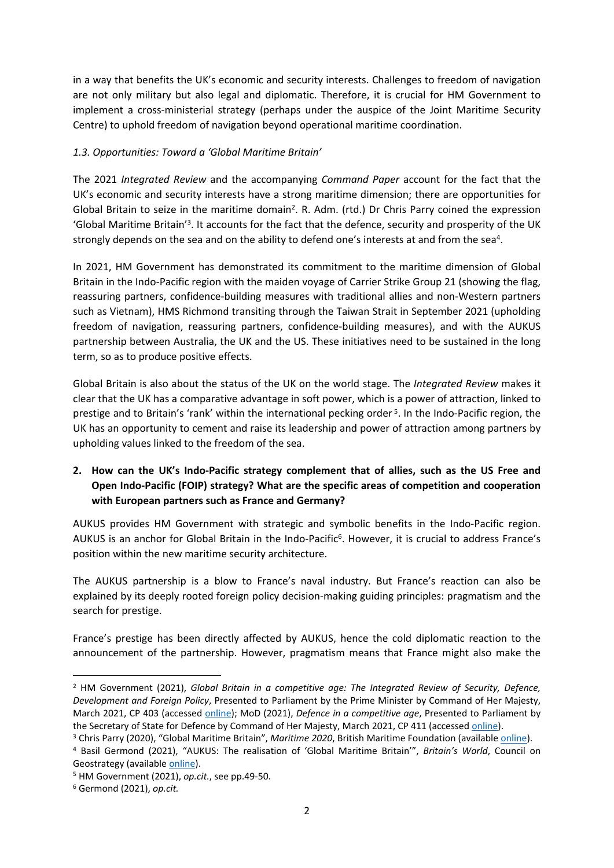in a way that benefits the UK's economic and security interests. Challenges to freedom of navigation are not only military but also legal and diplomatic. Therefore, it is crucial for HM Government to implement a cross-ministerial strategy (perhaps under the auspice of the Joint Maritime Security Centre) to uphold freedom of navigation beyond operational maritime coordination.

#### *1.3. Opportunities: Toward a 'Global Maritime Britain'*

The 2021 *Integrated Review* and the accompanying *Command Paper* account for the fact that the UK's economic and security interests have a strong maritime dimension; there are opportunities for Global Britain to seize in the maritime domain<sup>2</sup>. R. Adm. (rtd.) Dr Chris Parry coined the expression 'Global Maritime Britain'<sup>3</sup>. It accounts for the fact that the defence, security and prosperity of the UK strongly depends on the sea and on the ability to defend one's interests at and from the sea<sup>4</sup>.

In 2021, HM Government has demonstrated its commitment to the maritime dimension of Global Britain in the Indo-Pacific region with the maiden voyage of Carrier Strike Group 21 (showing the flag, reassuring partners, confidence-building measures with traditional allies and non-Western partners such as Vietnam), HMS Richmond transiting through the Taiwan Strait in September 2021 (upholding freedom of navigation, reassuring partners, confidence-building measures), and with the AUKUS partnership between Australia, the UK and the US. These initiatives need to be sustained in the long term, so as to produce positive effects.

Global Britain is also about the status of the UK on the world stage. The *Integrated Review* makes it clear that the UK has a comparative advantage in soft power, which is a power of attraction, linked to prestige and to Britain's 'rank' within the international pecking order<sup>5</sup>. In the Indo-Pacific region, the UK has an opportunity to cement and raise its leadership and power of attraction among partners by upholding values linked to the freedom of the sea.

# **2. How can the UK's Indo-Pacific strategy complement that of allies, such as the US Free and Open Indo-Pacific (FOIP) strategy? What are the specific areas of competition and cooperation with European partners such as France and Germany?**

AUKUS provides HM Government with strategic and symbolic benefits in the Indo-Pacific region. AUKUS is an anchor for Global Britain in the Indo-Pacific<sup>6</sup>. However, it is crucial to address France's position within the new maritime security architecture.

The AUKUS partnership is a blow to France's naval industry. But France's reaction can also be explained by its deeply rooted foreign policy decision-making guiding principles: pragmatism and the search for prestige.

France's prestige has been directly affected by AUKUS, hence the cold diplomatic reaction to the announcement of the partnership. However, pragmatism means that France might also make the

<sup>2</sup> HM Government (2021), *Global Britain in a competitive age: The Integrated Review of Security, Defence, Development and Foreign Policy*, Presented to Parliament by the Prime Minister by Command of Her Majesty, March 2021, CP 403 (accessed [online](https://assets.publishing.service.gov.uk/government/uploads/system/uploads/attachment_data/file/975077/Global_Britain_in_a_Competitive_Age-_the_Integrated_Review_of_Security__Defence__Development_and_Foreign_Policy.pdf)); MoD (2021), *Defence in a competitive age*, Presented to Parliament by the Secretary of State for Defence by Command of Her Majesty, March 2021, CP 411 (accessed [online\)](https://assets.publishing.service.gov.uk/government/uploads/system/uploads/attachment_data/file/974661/CP411_-Defence_Command_Plan.pdf).

<sup>3</sup> Chris Parry (2020), "Global Maritime Britain", *Maritime 2020*, British Maritime Foundation (available [online](https://www.maritimefoundation.uk/publications/maritime-2020/global-maritime-britain/)).

<sup>4</sup> Basil Germond (2021), "AUKUS: The realisation of 'Global Maritime Britain'", *Britain's World*, Council on Geostrategy (available [online](https://www.geostrategy.org.uk/britains-world/aukus-the-realisation-of-global-maritime-britain/)).

<sup>5</sup> HM Government (2021), *op.cit.*, see pp.49-50.

<sup>6</sup> Germond (2021), *op.cit.*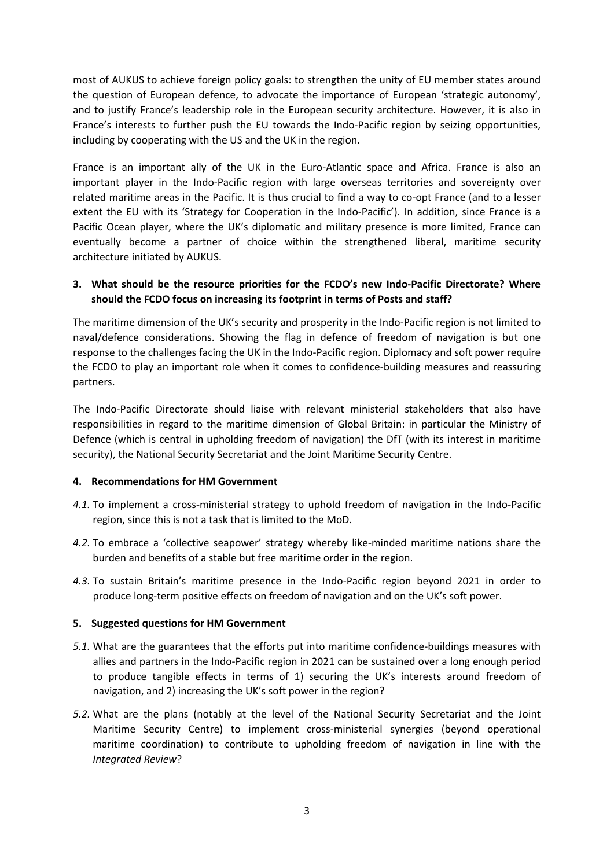most of AUKUS to achieve foreign policy goals: to strengthen the unity of EU member states around the question of European defence, to advocate the importance of European 'strategic autonomy', and to justify France's leadership role in the European security architecture. However, it is also in France's interests to further push the EU towards the Indo-Pacific region by seizing opportunities, including by cooperating with the US and the UK in the region.

France is an important ally of the UK in the Euro-Atlantic space and Africa. France is also an important player in the Indo-Pacific region with large overseas territories and sovereignty over related maritime areas in the Pacific. It is thus crucial to find a way to co-opt France (and to a lesser extent the EU with its 'Strategy for Cooperation in the Indo-Pacific'). In addition, since France is a Pacific Ocean player, where the UK's diplomatic and military presence is more limited, France can eventually become a partner of choice within the strengthened liberal, maritime security architecture initiated by AUKUS.

### **3. What should be the resource priorities for the FCDO's new Indo-Pacific Directorate? Where should the FCDO focus on increasing its footprint in terms of Posts and staff?**

The maritime dimension of the UK's security and prosperity in the Indo-Pacific region is not limited to naval/defence considerations. Showing the flag in defence of freedom of navigation is but one response to the challenges facing the UK in the Indo-Pacific region. Diplomacy and soft power require the FCDO to play an important role when it comes to confidence-building measures and reassuring partners.

The Indo-Pacific Directorate should liaise with relevant ministerial stakeholders that also have responsibilities in regard to the maritime dimension of Global Britain: in particular the Ministry of Defence (which is central in upholding freedom of navigation) the DfT (with its interest in maritime security), the National Security Secretariat and the Joint Maritime Security Centre.

#### **4. Recommendations for HM Government**

- *4.1.* To implement a cross-ministerial strategy to uphold freedom of navigation in the Indo-Pacific region, since this is not a task that is limited to the MoD.
- *4.2.* To embrace a 'collective seapower' strategy whereby like-minded maritime nations share the burden and benefits of a stable but free maritime order in the region.
- *4.3.* To sustain Britain's maritime presence in the Indo-Pacific region beyond 2021 in order to produce long-term positive effects on freedom of navigation and on the UK's soft power.

#### **5. Suggested questions for HM Government**

- *5.1.* What are the guarantees that the efforts put into maritime confidence-buildings measures with allies and partners in the Indo-Pacific region in 2021 can be sustained over a long enough period to produce tangible effects in terms of 1) securing the UK's interests around freedom of navigation, and 2) increasing the UK's soft power in the region?
- *5.2.* What are the plans (notably at the level of the National Security Secretariat and the Joint Maritime Security Centre) to implement cross-ministerial synergies (beyond operational maritime coordination) to contribute to upholding freedom of navigation in line with the *Integrated Review*?